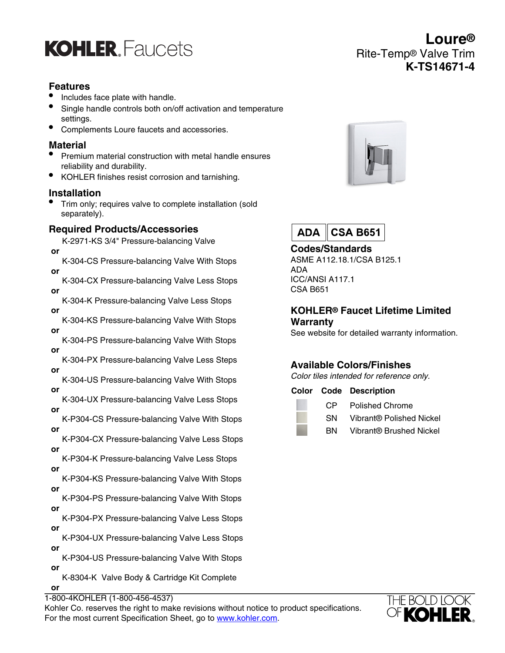## **KOHLER** Faucets

#### **Features**

- Includes face plate with handle.
- Single handle controls both on/off activation and temperature settings.
- Complements Loure faucets and accessories.

## **Material**

- Premium material construction with metal handle ensures reliability and durability.
- KOHLER finishes resist corrosion and tarnishing.

#### **Installation**

• Trim only; requires valve to complete installation (sold separately).

## **Required Products/Accessories**

K-2971-KS 3/4" Pressure-balancing Valve  **or**

K-304-CS Pressure-balancing Valve With Stops  **or**

K-304-CX Pressure-balancing Valve Less Stops  **or**

K-304-K Pressure-balancing Valve Less Stops  **or**

K-304-KS Pressure-balancing Valve With Stops  **or**

K-304-PS Pressure-balancing Valve With Stops  **or**

K-304-PX Pressure-balancing Valve Less Steps  **or**

K-304-US Pressure-balancing Valve With Stops  **or**

K-304-UX Pressure-balancing Valve Less Stops  **or**

- K-P304-CS Pressure-balancing Valve With Stops  **or**
- K-P304-CX Pressure-balancing Valve Less Stops  **or**

K-P304-K Pressure-balancing Valve Less Stops  **or**

K-P304-KS Pressure-balancing Valve With Stops  **or**

K-P304-PS Pressure-balancing Valve With Stops  **or**

K-P304-PX Pressure-balancing Valve Less Stops  **or**

- K-P304-UX Pressure-balancing Valve Less Stops  **or**
- K-P304-US Pressure-balancing Valve With Stops  **or** K-8304-K Valve Body & Cartridge Kit Complete

 **or**

1-800-4KOHLER (1-800-456-4537)

Kohler Co. reserves the right to make revisions without notice to product specifications. For the most current Specification Sheet, go to [www.kohler.com](http://www.kohler.com).



**Loure®**

**K-TS14671-4**

Rite-Temp® Valve Trim



**Codes/Standards** ASME A112.18.1/CSA B125.1 ADA ICC/ANSI A117.1 CSA B651

#### **KOHLER® Faucet Lifetime Limited Warranty**

See website for detailed warranty information.

## **Available Colors/Finishes**

Color tiles intended for reference only.

**Color Code Description**

CP Polished Chrome

SN Vibrant® Polished Nickel

BN Vibrant® Brushed Nickel